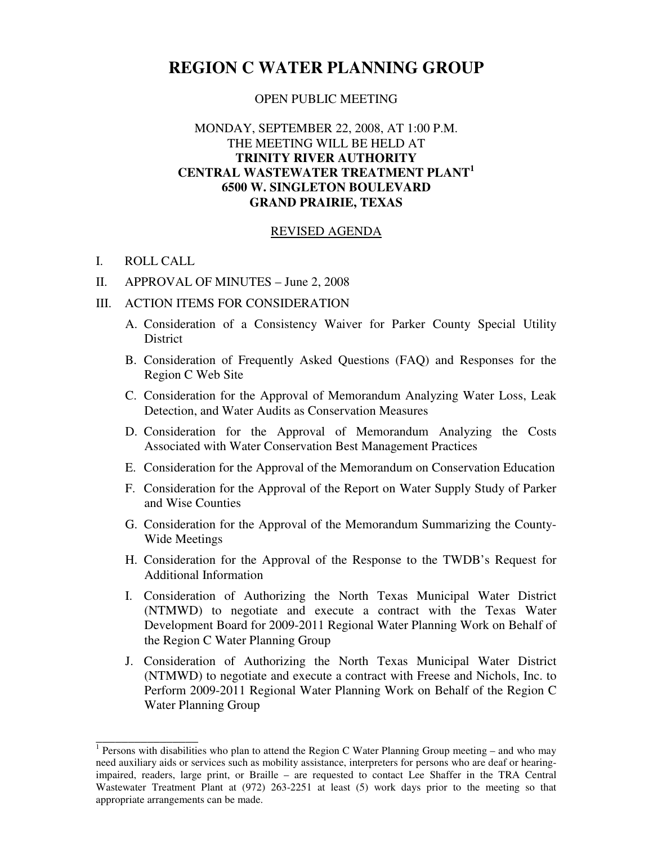## **REGION C WATER PLANNING GROUP**

## OPEN PUBLIC MEETING

## MONDAY, SEPTEMBER 22, 2008, AT 1:00 P.M. THE MEETING WILL BE HELD AT **TRINITY RIVER AUTHORITY CENTRAL WASTEWATER TREATMENT PLANT<sup>1</sup> 6500 W. SINGLETON BOULEVARD GRAND PRAIRIE, TEXAS**

## REVISED AGENDA

I. ROLL CALL

\_\_\_\_\_\_\_\_\_\_\_\_\_\_\_\_

- II. APPROVAL OF MINUTES June 2, 2008
- III. ACTION ITEMS FOR CONSIDERATION
	- A. Consideration of a Consistency Waiver for Parker County Special Utility **District**
	- B. Consideration of Frequently Asked Questions (FAQ) and Responses for the Region C Web Site
	- C. Consideration for the Approval of Memorandum Analyzing Water Loss, Leak Detection, and Water Audits as Conservation Measures
	- D. Consideration for the Approval of Memorandum Analyzing the Costs Associated with Water Conservation Best Management Practices
	- E. Consideration for the Approval of the Memorandum on Conservation Education
	- F. Consideration for the Approval of the Report on Water Supply Study of Parker and Wise Counties
	- G. Consideration for the Approval of the Memorandum Summarizing the County-Wide Meetings
	- H. Consideration for the Approval of the Response to the TWDB's Request for Additional Information
	- I. Consideration of Authorizing the North Texas Municipal Water District (NTMWD) to negotiate and execute a contract with the Texas Water Development Board for 2009-2011 Regional Water Planning Work on Behalf of the Region C Water Planning Group
	- J. Consideration of Authorizing the North Texas Municipal Water District (NTMWD) to negotiate and execute a contract with Freese and Nichols, Inc. to Perform 2009-2011 Regional Water Planning Work on Behalf of the Region C Water Planning Group

<sup>&</sup>lt;sup>1</sup> Persons with disabilities who plan to attend the Region C Water Planning Group meeting – and who may need auxiliary aids or services such as mobility assistance, interpreters for persons who are deaf or hearingimpaired, readers, large print, or Braille – are requested to contact Lee Shaffer in the TRA Central Wastewater Treatment Plant at (972) 263-2251 at least (5) work days prior to the meeting so that appropriate arrangements can be made.